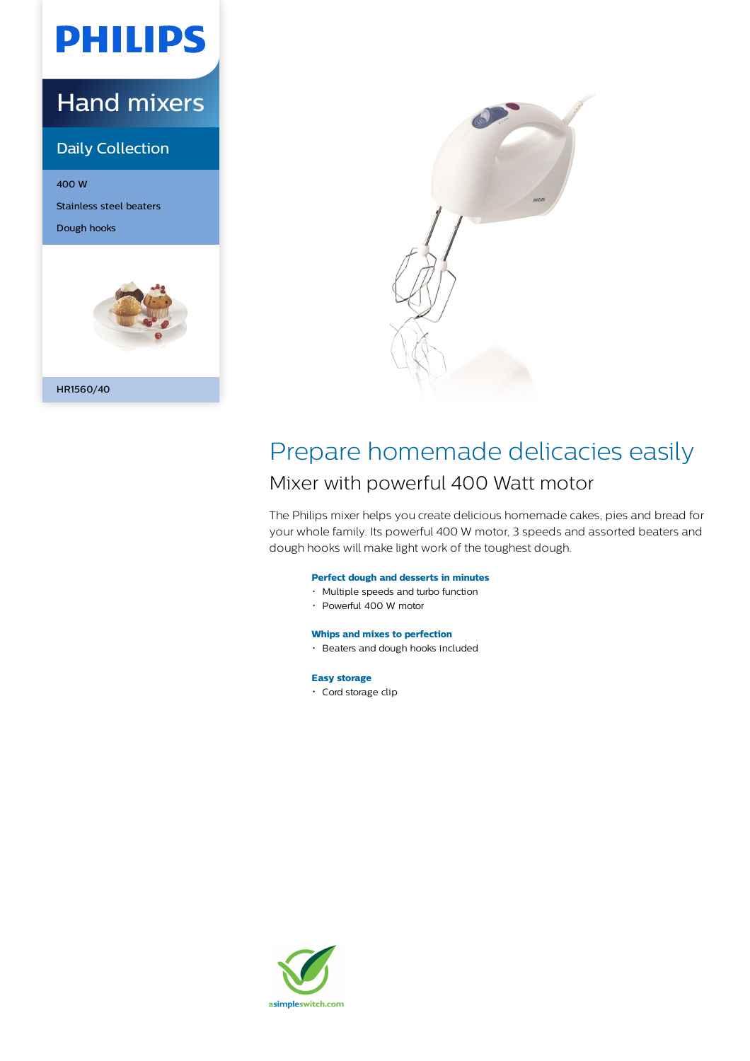# **PHILIPS**

## Hand mixers

## Daily Collection

400 W Stainless steel beaters Dough hooks





## Prepare homemade delicacies easily Mixer with powerful 400 Watt motor

The Philips mixer helps you create delicious homemade cakes, pies and bread for your whole family. Its powerful 400 W motor, 3 speeds and assorted beaters and dough hooks will make light work of the toughest dough.

## **Perfect dough and desserts in minutes**

- Multiple speeds and turbo function
- Powerful 400 W motor

## **Whips and mixes to perfection**

Beaters and dough hooks included

## **Easy storage**

• Cord storage clip